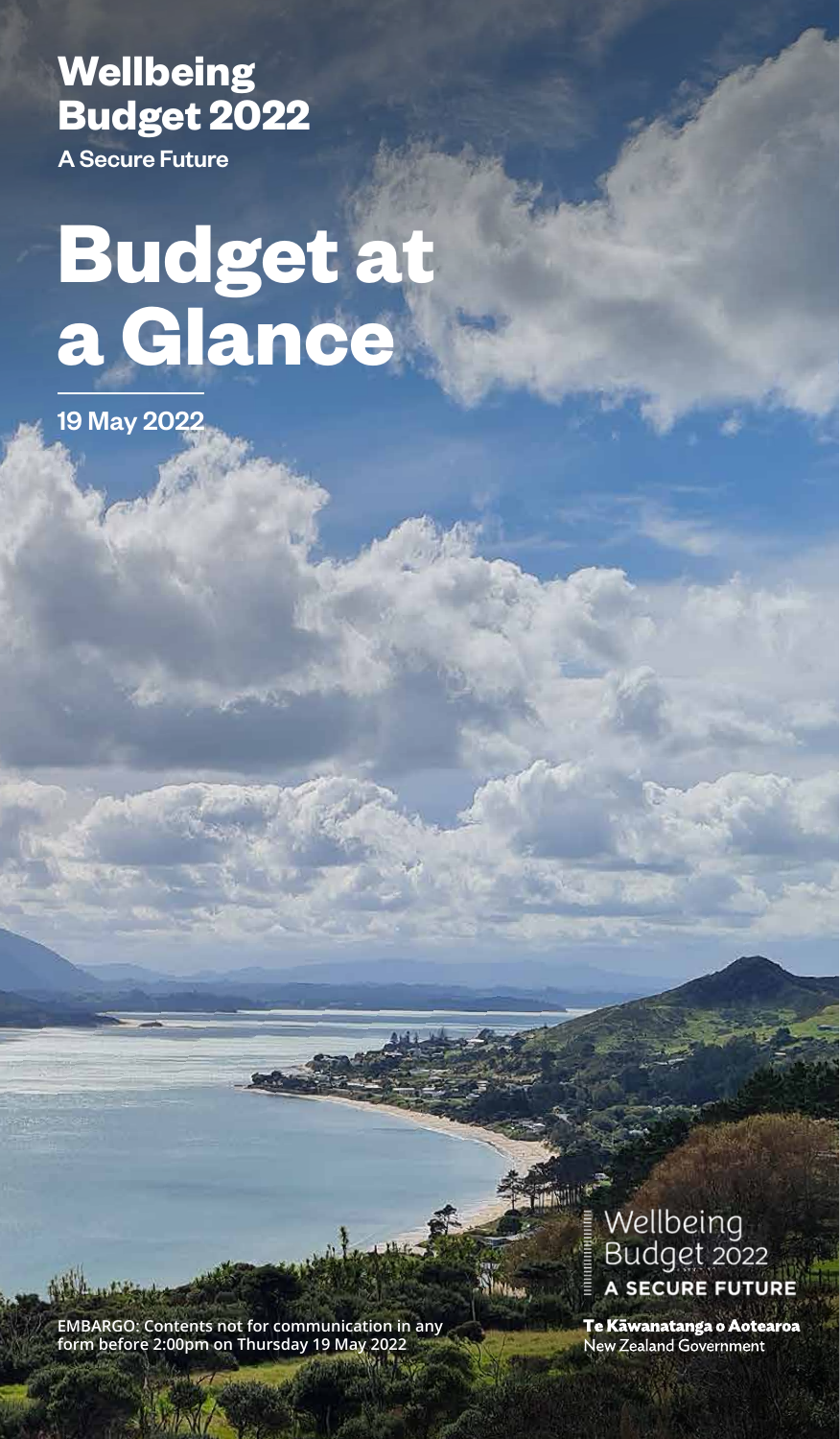**Wellbeing Budget 2022** 

A Secure Future

# **Budget at a Glance**

19 May 2022

**EMBARGO: Contents not for communication in any form before 2:00pm on Thursday 19 May 2022**

Wellbeing Budget 2022 A SECURE FUTURE

Te Kāwanatanga o Aotearoa New Zealand Government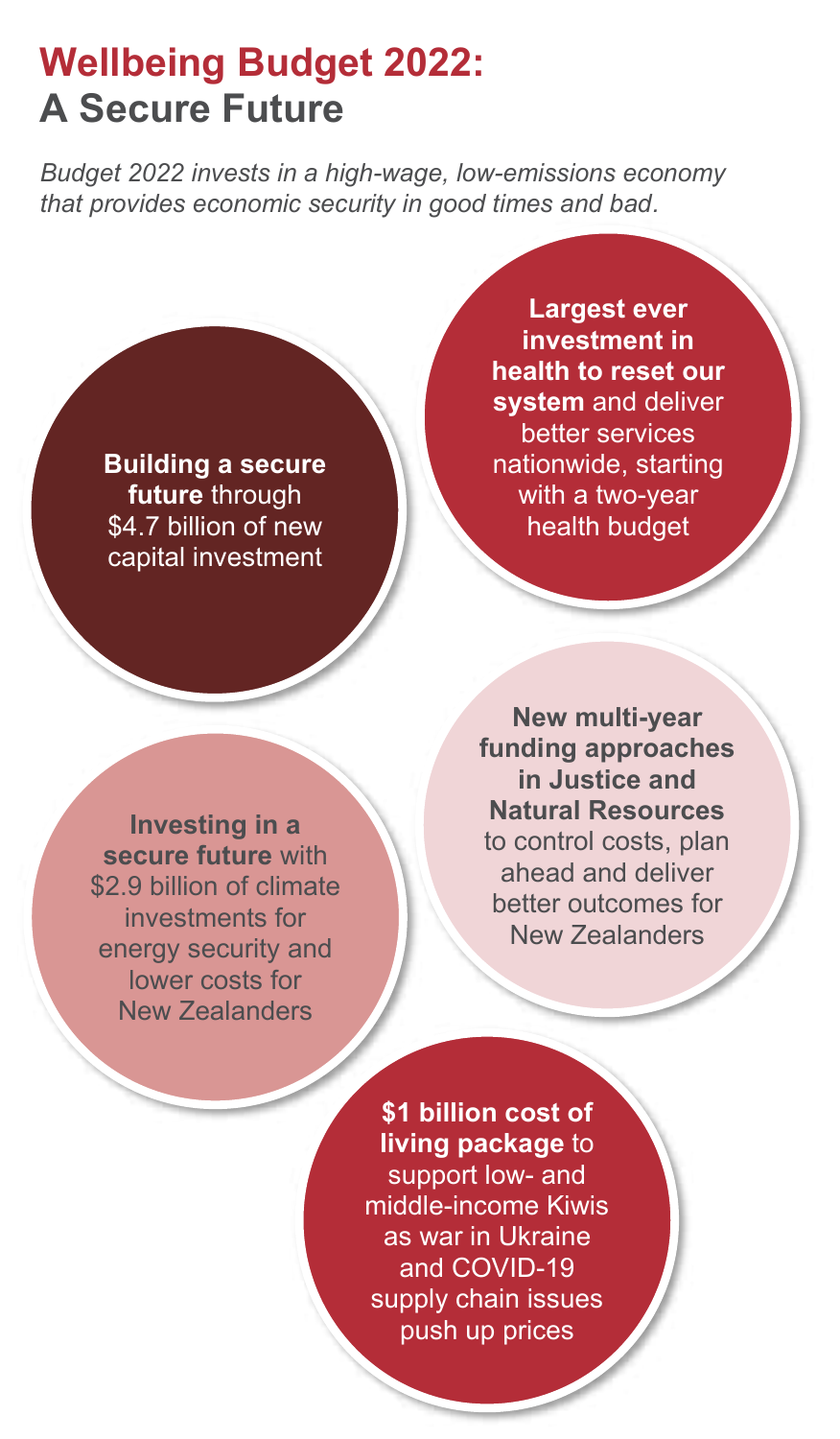### **Wellbeing Budget 2022: A Secure Future**

*Budget 2022 invests in a high-wage, low-emissions economy that provides economic security in good times and bad.*

**Building a secure future** through \$4.7 billion of new capital investment

**Largest ever investment in health to reset our system** and deliver better services nationwide, starting with a two-year health budget

**Investing in a secure future** with \$2.9 billion of climate investments for energy security and lower costs for New Zealanders

**New multi-year funding approaches in Justice and Natural Resources** to control costs, plan ahead and deliver better outcomes for New Zealanders

**\$1 billion cost of living package** to support low- and middle-income Kiwis as war in Ukraine and COVID-19 supply chain issues push up prices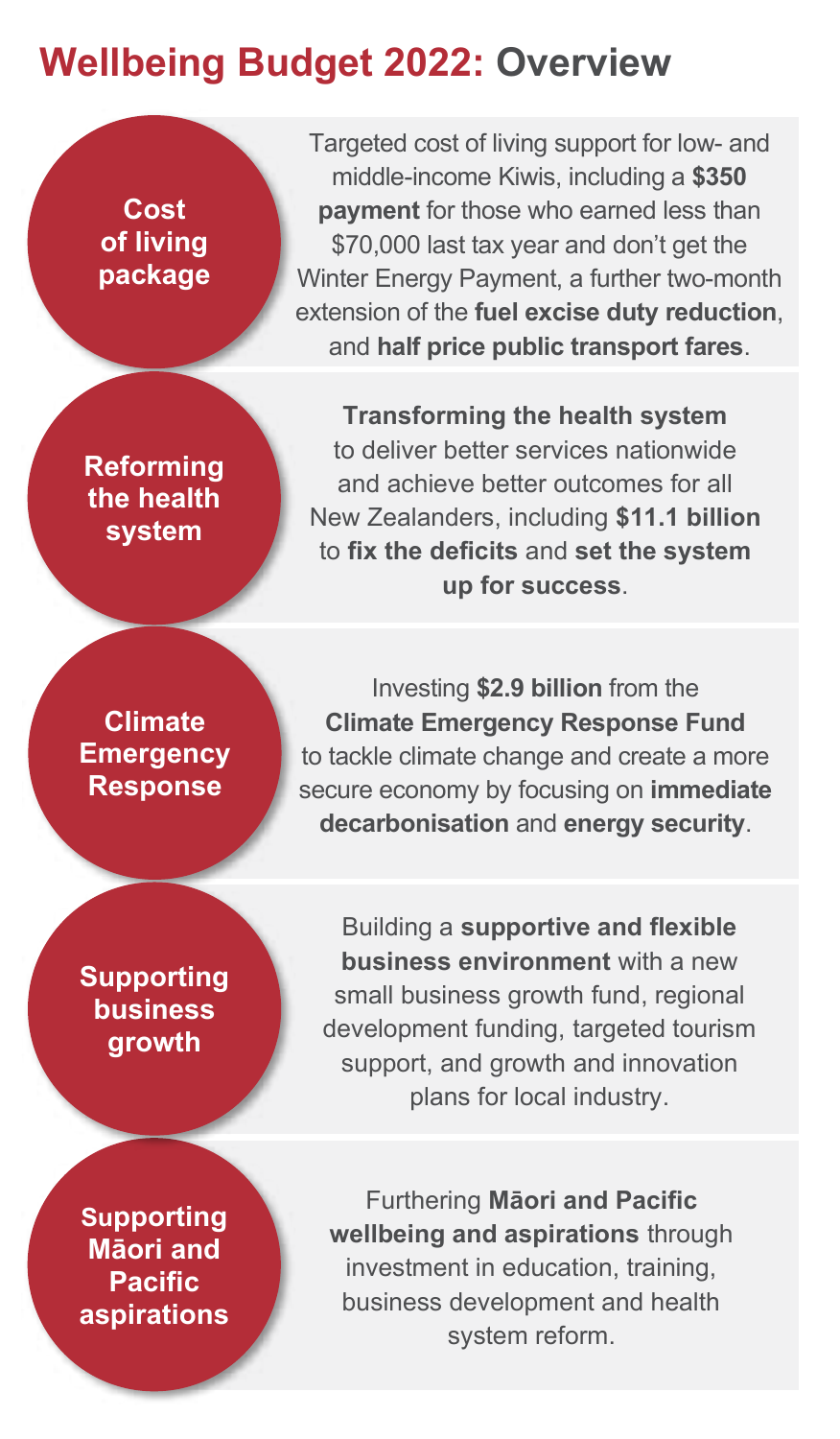### **Wellbeing Budget 2022: Overview**

**Cost of living package**

**Reforming the health system**

**Climate Emergency Response** 

**Supporting business growth**

**Supporting Māori and Pacific aspirations**

Targeted cost of living support for low- and middle-income Kiwis, including a **\$350 payment** for those who earned less than \$70,000 last tax year and don't get the Winter Energy Payment, a further two-month extension of the **fuel excise duty reduction**, and **half price public transport fares**.

**Transforming the health system** to deliver better services nationwide and achieve better outcomes for all New Zealanders, including **\$11.1 billion** to **fix the deficits** and **set the system up for success**.

Investing **\$2.9 billion** from the **Climate Emergency Response Fund** to tackle climate change and create a more secure economy by focusing on **immediate decarbonisation** and **energy security**.

Building a **supportive and flexible business environment** with a new small business growth fund, regional development funding, targeted tourism support, and growth and innovation plans for local industry.

Furthering **Māori and Pacific wellbeing and aspirations** through investment in education, training, business development and health system reform.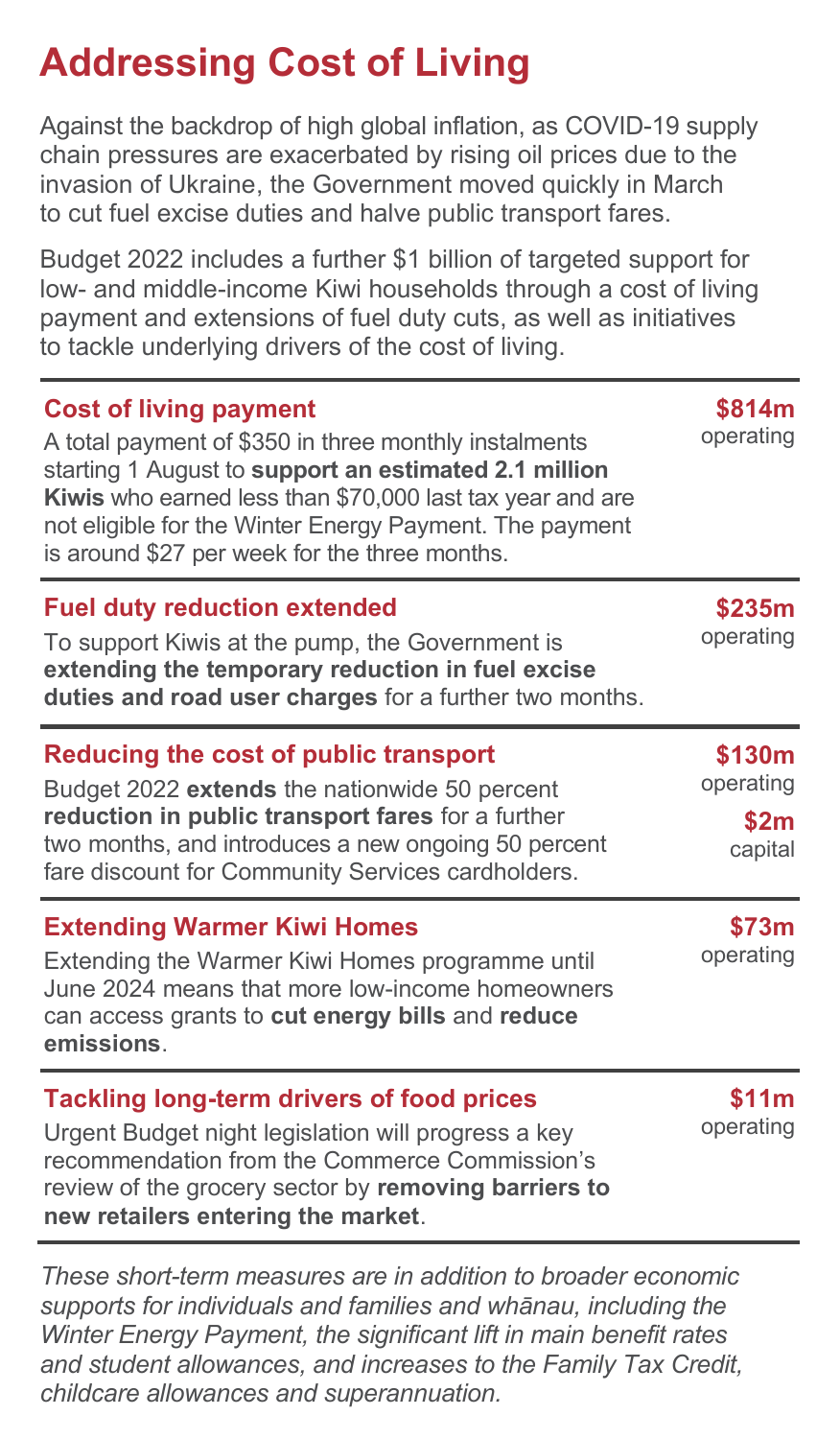# **Addressing Cost of Living**

Against the backdrop of high global inflation, as COVID-19 supply chain pressures are exacerbated by rising oil prices due to the invasion of Ukraine, the Government moved quickly in March to cut fuel excise duties and halve public transport fares.

Budget 2022 includes a further \$1 billion of targeted support for low- and middle-income Kiwi households through a cost of living payment and extensions of fuel duty cuts, as well as initiatives to tackle underlying drivers of the cost of living.

| <b>Cost of living payment</b><br>A total payment of \$350 in three monthly instalments<br>starting 1 August to support an estimated 2.1 million<br>Kiwis who earned less than \$70,000 last tax year and are<br>not eligible for the Winter Energy Payment. The payment<br>is around \$27 per week for the three months. | \$814m<br>operating                    |
|--------------------------------------------------------------------------------------------------------------------------------------------------------------------------------------------------------------------------------------------------------------------------------------------------------------------------|----------------------------------------|
| <b>Fuel duty reduction extended</b><br>To support Kiwis at the pump, the Government is<br>extending the temporary reduction in fuel excise<br>duties and road user charges for a further two months.                                                                                                                     | \$235m<br>operating                    |
| Reducing the cost of public transport<br>Budget 2022 extends the nationwide 50 percent<br>reduction in public transport fares for a further<br>two months, and introduces a new ongoing 50 percent<br>fare discount for Community Services cardholders.                                                                  | \$130m<br>operating<br>\$2m<br>capital |
| <b>Extending Warmer Kiwi Homes</b><br>Extending the Warmer Kiwi Homes programme until<br>June 2024 means that more low-income homeowners<br>can access grants to cut energy bills and reduce<br>emissions.                                                                                                               | \$73m<br>operating                     |
| <b>Tackling long-term drivers of food prices</b><br>Urgent Budget night legislation will progress a key<br>recommendation from the Commerce Commission's<br>review of the grocery sector by removing barriers to<br>new retailers entering the market.                                                                   | \$11m<br>operating                     |

*These short-term measures are in addition to broader economic supports for individuals and families and whānau, including the Winter Energy Payment, the significant lift in main benefit rates and student allowances, and increases to the Family Tax Credit, childcare allowances and superannuation.*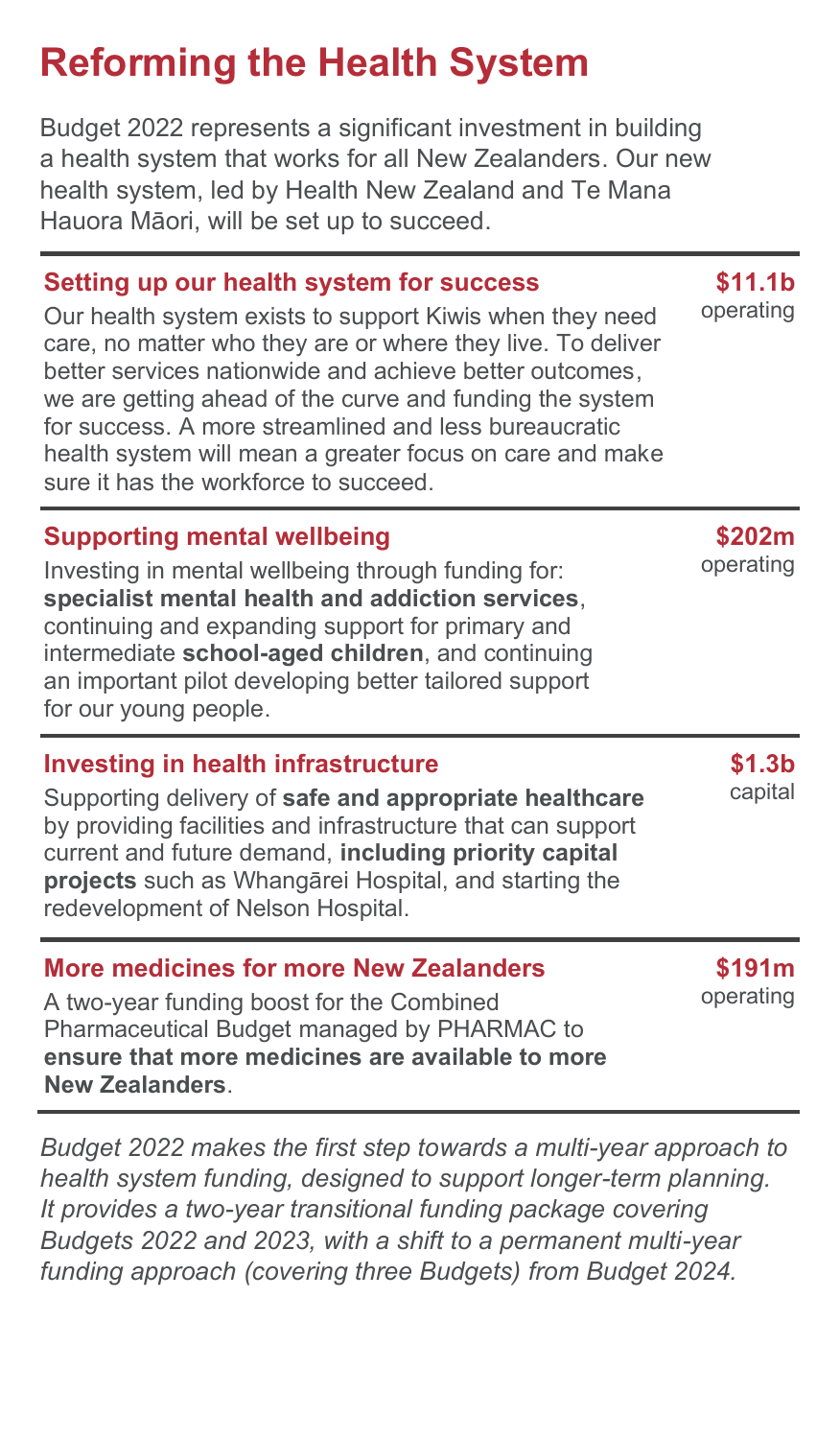# **Reforming the Health System**

Budget 2022 represents a significant investment in building a health system that works for all New Zealanders. Our new health system, led by Health New Zealand and Te Mana Hauora Māori, will be set up to succeed.

#### **Setting up our health system for success**

Our health system exists to support Kiwis when they need care, no matter who they are or where they live. To deliver better services nationwide and achieve better outcomes, we are getting ahead of the curve and funding the system for success. A more streamlined and less bureaucratic health system will mean a greater focus on care and make sure it has the workforce to succeed.

#### **Supporting mental wellbeing**

Investing in mental wellbeing through funding for: **specialist mental health and addiction services**, continuing and expanding support for primary and intermediate **school-aged children**, and continuing an important pilot developing better tailored support for our young people.

#### **Investing in health infrastructure**

Supporting delivery of **safe and appropriate healthcare** by providing facilities and infrastructure that can support current and future demand, **including priority capital projects** such as Whangārei Hospital, and starting the redevelopment of Nelson Hospital.

| <b>More medicines for more New Zealanders</b>    |
|--------------------------------------------------|
| A two-year funding boost for the Combined        |
| Pharmaceutical Budget managed by PHARMAC to      |
| ensure that more medicines are available to more |
| New Zealanders.                                  |

*Budget 2022 makes the first step towards a multi-year approach to health system funding, designed to support longer-term planning. It provides a two-year transitional funding package covering Budgets 2022 and 2023, with a shift to a permanent multi-year funding approach (covering three Budgets) from Budget 2024.*

**\$11.1b** operating

**\$202m** operating

> **\$1.3b** capital

**\$191m** operating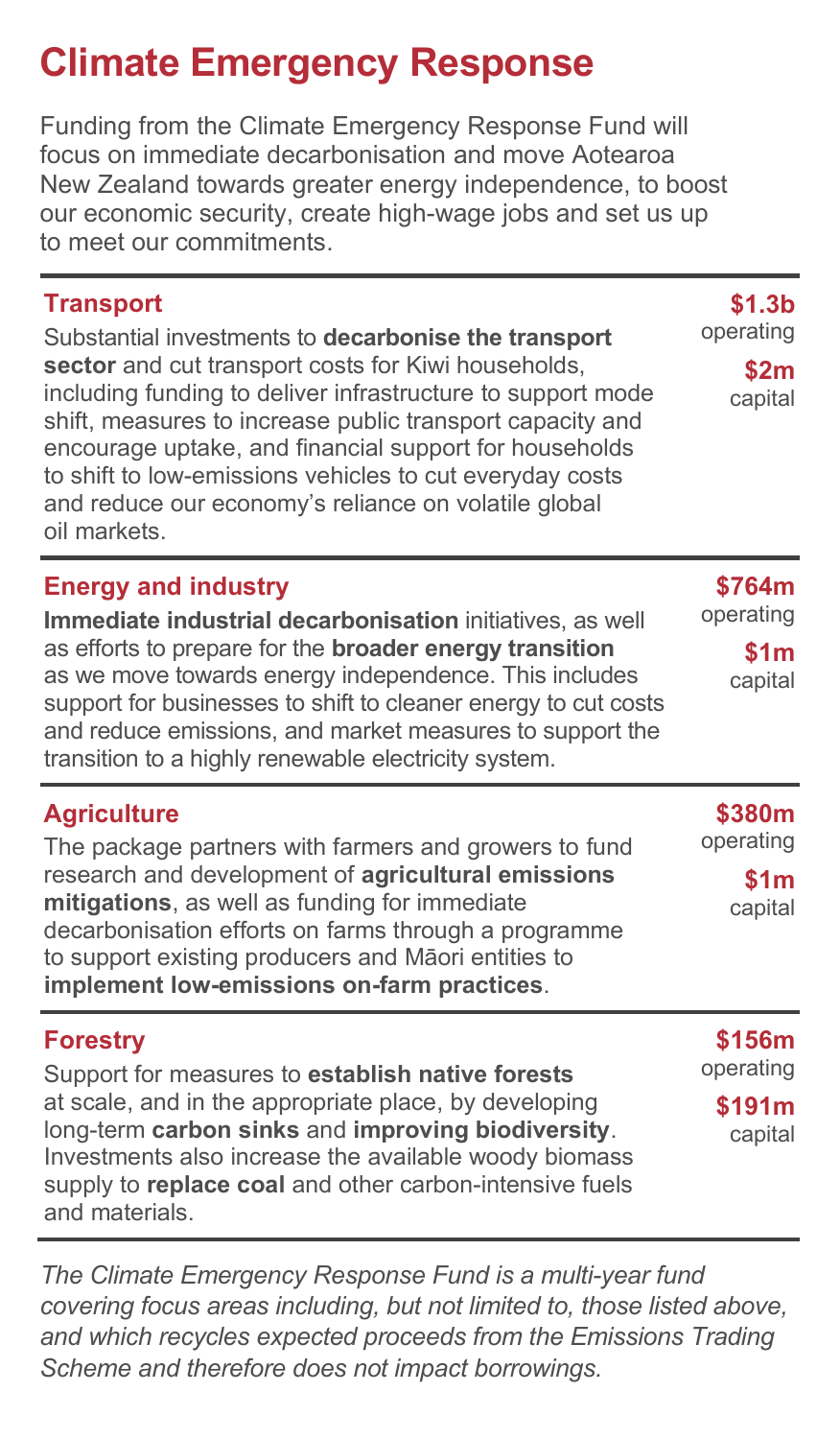### **Climate Emergency Response**

Funding from the Climate Emergency Response Fund will focus on immediate decarbonisation and move Aotearoa New Zealand towards greater energy independence, to boost our economic security, create high-wage jobs and set us up to meet our commitments.

| <b>Transport</b><br>Substantial investments to decarbonise the transport<br>sector and cut transport costs for Kiwi households,<br>including funding to deliver infrastructure to support mode<br>shift, measures to increase public transport capacity and<br>encourage uptake, and financial support for households<br>to shift to low-emissions vehicles to cut everyday costs<br>and reduce our economy's reliance on volatile global<br>oil markets. | \$1.3 <sub>b</sub><br>operating<br>\$2m<br>capital |
|-----------------------------------------------------------------------------------------------------------------------------------------------------------------------------------------------------------------------------------------------------------------------------------------------------------------------------------------------------------------------------------------------------------------------------------------------------------|----------------------------------------------------|
| <b>Energy and industry</b><br>Immediate industrial decarbonisation initiatives, as well<br>as efforts to prepare for the <b>broader energy transition</b><br>as we move towards energy independence. This includes<br>support for businesses to shift to cleaner energy to cut costs<br>and reduce emissions, and market measures to support the<br>transition to a highly renewable electricity system.                                                  | \$764m<br>operating<br>\$1m<br>capital             |
| <b>Agriculture</b><br>The package partners with farmers and growers to fund<br>research and development of agricultural emissions<br>mitigations, as well as funding for immediate<br>decarbonisation efforts on farms through a programme<br>to support existing producers and Māori entities to<br>implement low-emissions on-farm practices.                                                                                                           | \$380m<br>operating<br>\$1m<br>capital             |
| <b>Forestry</b><br>Support for measures to establish native forests<br>at scale, and in the appropriate place, by developing<br>long-term carbon sinks and improving biodiversity.<br>Investments also increase the available woody biomass<br>supply to replace coal and other carbon-intensive fuels<br>and materials.                                                                                                                                  | \$156m<br>operating<br>\$191m<br>capital           |

*The Climate Emergency Response Fund is a multi-year fund covering focus areas including, but not limited to, those listed above, and which recycles expected proceeds from the Emissions Trading Scheme and therefore does not impact borrowings.*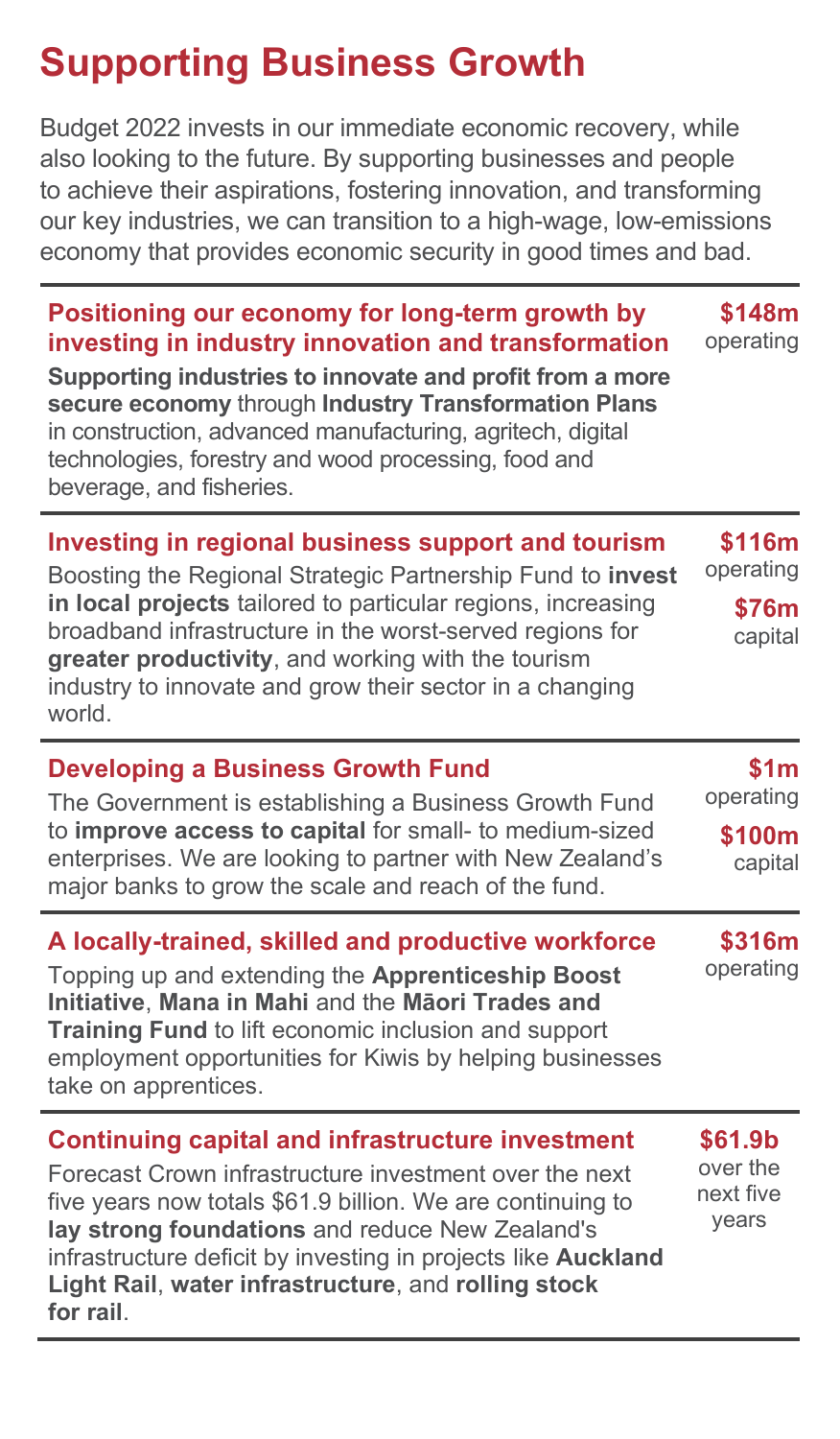# **Supporting Business Growth**

Budget 2022 invests in our immediate economic recovery, while also looking to the future. By supporting businesses and people to achieve their aspirations, fostering innovation, and transforming our key industries, we can transition to a high-wage, low-emissions economy that provides economic security in good times and bad.

**Positioning our economy for long-term growth by investing in industry innovation and transformation Supporting industries to innovate and profit from a more secure economy** through **Industry Transformation Plans** in construction, advanced manufacturing, agritech, digital technologies, forestry and wood processing, food and beverage, and fisheries. **\$148m** operating **Investing in regional business support and tourism \$116m**

Boosting the Regional Strategic Partnership Fund to **invest in local projects** tailored to particular regions, increasing broadband infrastructure in the worst-served regions for **greater productivity**, and working with the tourism industry to innovate and grow their sector in a changing world. operating **\$76m** capital

#### **Developing a Business Growth Fund** The Government is establishing a Business Growth Fund to **improve access to capital** for small- to medium-sized enterprises. We are looking to partner with New Zealand's major banks to grow the scale and reach of the fund. **\$1m** operating **\$100m** capital

**A locally-trained, skilled and productive workforce** Topping up and extending the **Apprenticeship Boost Initiative**, **Mana in Mahi** and the **Māori Trades and Training Fund** to lift economic inclusion and support employment opportunities for Kiwis by helping businesses take on apprentices. **\$316m** operating

#### **Continuing capital and infrastructure investment** Forecast Crown infrastructure investment over the next five years now totals \$61.9 billion. We are continuing to **lay strong foundations** and reduce New Zealand's infrastructure deficit by investing in projects like **Auckland Light Rail**, **water infrastructure**, and **rolling stock for rail**. **\$61.9b** over the next five years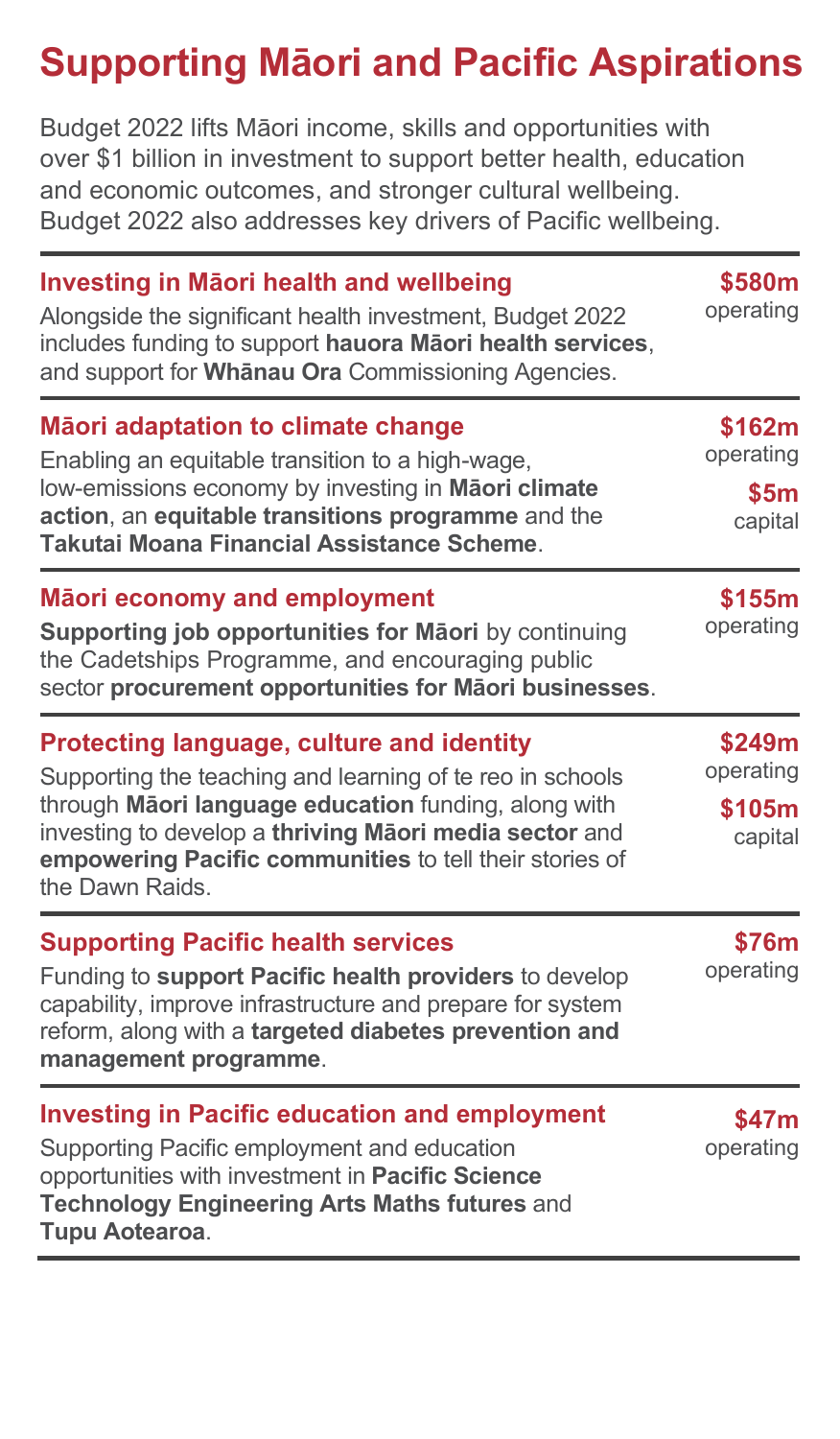# **Supporting Māori and Pacific Aspirations**

Budget 2022 lifts Māori income, skills and opportunities with over \$1 billion in investment to support better health, education and economic outcomes, and stronger cultural wellbeing. Budget 2022 also addresses key drivers of Pacific wellbeing.

| <b>Investing in Mäori health and wellbeing</b><br>Alongside the significant health investment, Budget 2022<br>includes funding to support hauora Māori health services,<br>and support for Whanau Ora Commissioning Agencies.                                                                                 | \$580m<br>operating                      |  |
|---------------------------------------------------------------------------------------------------------------------------------------------------------------------------------------------------------------------------------------------------------------------------------------------------------------|------------------------------------------|--|
| Mãori adaptation to climate change<br>Enabling an equitable transition to a high-wage,<br>low-emissions economy by investing in Maori climate<br>action, an equitable transitions programme and the<br>Takutai Moana Financial Assistance Scheme.                                                             | \$162m<br>operating<br>\$5m<br>capital   |  |
| Māori economy and employment<br>Supporting job opportunities for Māori by continuing<br>the Cadetships Programme, and encouraging public<br>sector procurement opportunities for Māori businesses.                                                                                                            | \$155m<br>operating                      |  |
| <b>Protecting language, culture and identity</b><br>Supporting the teaching and learning of te reo in schools<br>through Māori language education funding, along with<br>investing to develop a thriving Maori media sector and<br>empowering Pacific communities to tell their stories of<br>the Dawn Raids. | \$249m<br>operating<br>\$105m<br>capital |  |
| <b>Supporting Pacific health services</b><br>Funding to support Pacific health providers to develop<br>capability, improve infrastructure and prepare for system<br>reform, along with a targeted diabetes prevention and<br>management programme.                                                            | \$76m<br>operating                       |  |
| <b>Investing in Pacific education and employment</b><br>Supporting Pacific employment and education<br>opportunities with investment in Pacific Science<br><b>Technology Engineering Arts Maths futures and</b><br>Tupu Aotearoa.                                                                             | \$47m<br>operating                       |  |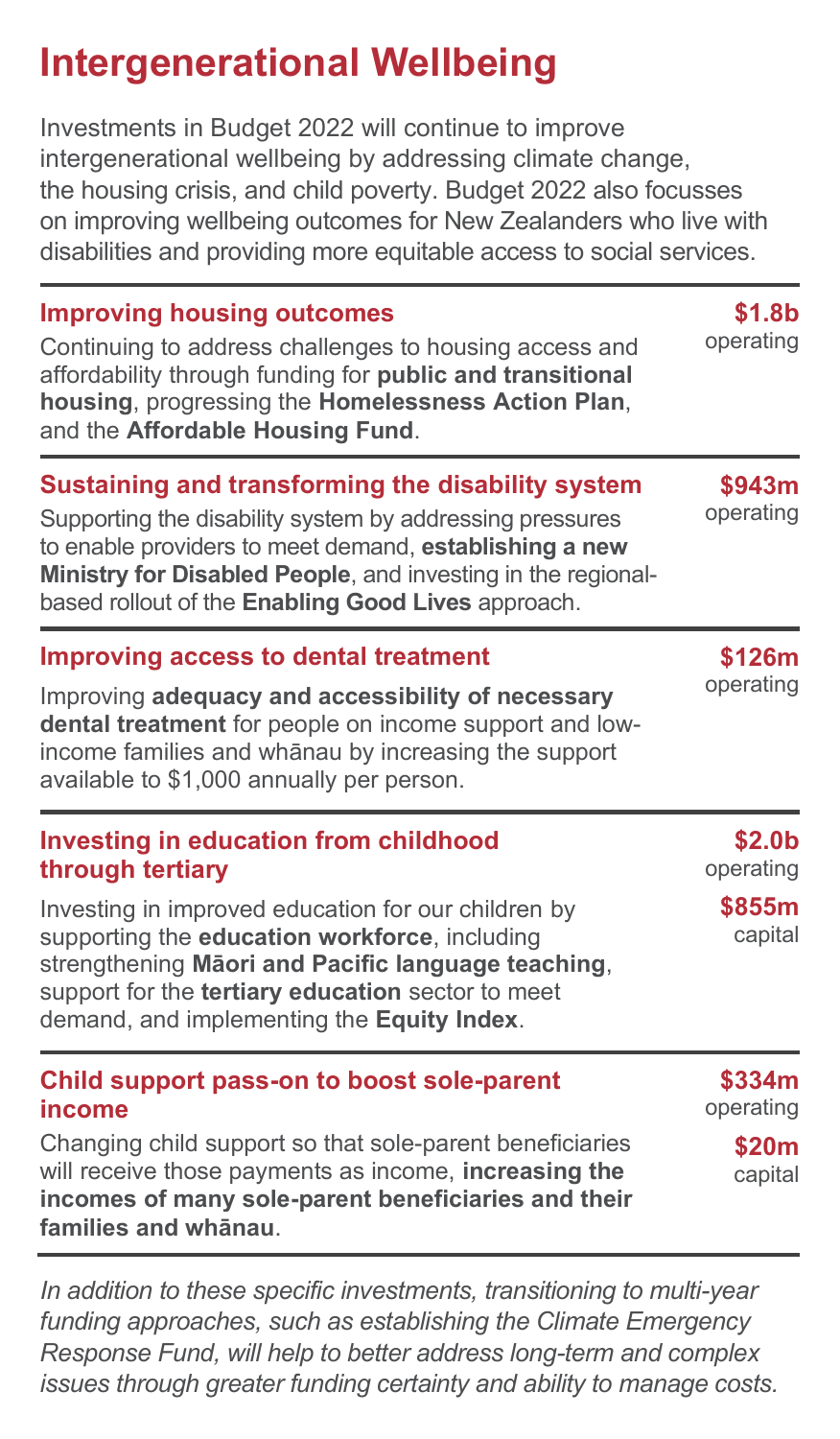### **Intergenerational Wellbeing**

Investments in Budget 2022 will continue to improve intergenerational wellbeing by addressing climate change, the housing crisis, and child poverty. Budget 2022 also focusses on improving wellbeing outcomes for New Zealanders who live with disabilities and providing more equitable access to social services.

| <b>Improving housing outcomes</b><br>Continuing to address challenges to housing access and<br>affordability through funding for <b>public and transitional</b><br>housing, progressing the Homelessness Action Plan,<br>and the Affordable Housing Fund.                                            | \$1.8b<br>operating             |
|------------------------------------------------------------------------------------------------------------------------------------------------------------------------------------------------------------------------------------------------------------------------------------------------------|---------------------------------|
| Sustaining and transforming the disability system<br>Supporting the disability system by addressing pressures<br>to enable providers to meet demand, establishing a new<br>Ministry for Disabled People, and investing in the regional-<br>based rollout of the <b>Enabling Good Lives</b> approach. | \$943m<br>operating             |
| Improving access to dental treatment<br>Improving adequacy and accessibility of necessary<br>dental treatment for people on income support and low-<br>income families and whānau by increasing the support<br>available to \$1,000 annually per person.                                             | \$126m<br>operating             |
| <b>Investing in education from childhood</b><br>through tertiary                                                                                                                                                                                                                                     | \$2.0 <sub>b</sub><br>operating |
| Investing in improved education for our children by<br>supporting the education workforce, including<br>strengthening Māori and Pacific language teaching,<br>support for the tertiary education sector to meet<br>demand, and implementing the Equity Index.                                        | \$855m<br>capital               |
| Child support pass-on to boost sole-parent<br>income                                                                                                                                                                                                                                                 | \$334m<br>operating             |
| Changing child support so that sole-parent beneficiaries<br>will receive those payments as income, increasing the<br>incomes of many sole-parent beneficiaries and their                                                                                                                             | \$20m<br>capital                |

**families and whānau**.

*In addition to these specific investments, transitioning to multi-year funding approaches, such as establishing the Climate Emergency Response Fund, will help to better address long-term and complex issues through greater funding certainty and ability to manage costs.*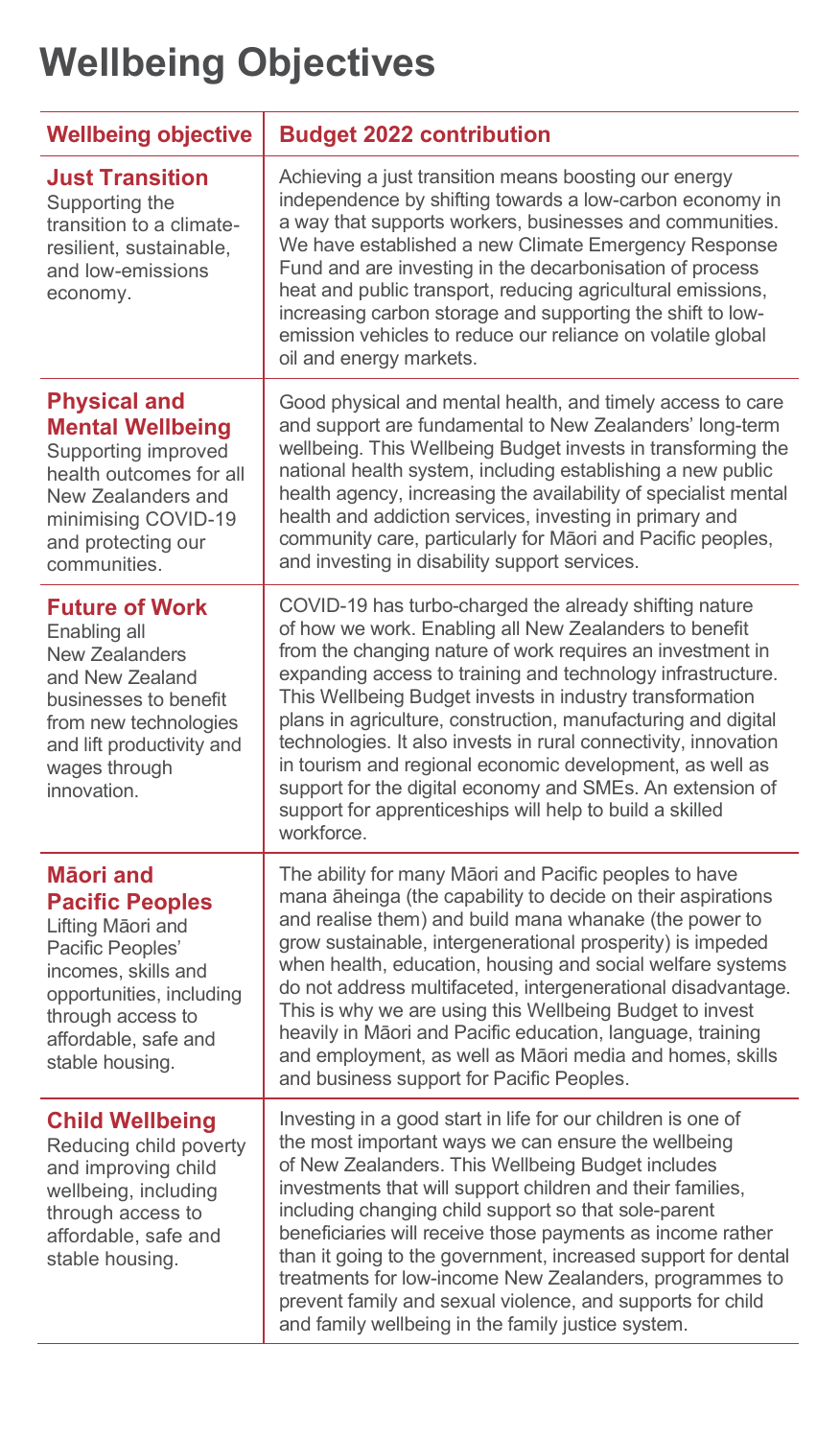# **Wellbeing Objectives**

| <b>Wellbeing objective</b>                                                                                                                                                                      | <b>Budget 2022 contribution</b>                                                                                                                                                                                                                                                                                                                                                                                                                                                                                                                                                                                                                  |
|-------------------------------------------------------------------------------------------------------------------------------------------------------------------------------------------------|--------------------------------------------------------------------------------------------------------------------------------------------------------------------------------------------------------------------------------------------------------------------------------------------------------------------------------------------------------------------------------------------------------------------------------------------------------------------------------------------------------------------------------------------------------------------------------------------------------------------------------------------------|
| <b>Just Transition</b><br>Supporting the<br>transition to a climate-<br>resilient, sustainable,<br>and low-emissions<br>economy.                                                                | Achieving a just transition means boosting our energy<br>independence by shifting towards a low-carbon economy in<br>a way that supports workers, businesses and communities.<br>We have established a new Climate Emergency Response<br>Fund and are investing in the decarbonisation of process<br>heat and public transport, reducing agricultural emissions,<br>increasing carbon storage and supporting the shift to low-<br>emission vehicles to reduce our reliance on volatile global<br>oil and energy markets.                                                                                                                         |
| <b>Physical and</b><br><b>Mental Wellbeing</b><br>Supporting improved<br>health outcomes for all<br>New Zealanders and<br>minimising COVID-19<br>and protecting our<br>communities.             | Good physical and mental health, and timely access to care<br>and support are fundamental to New Zealanders' long-term<br>wellbeing. This Wellbeing Budget invests in transforming the<br>national health system, including establishing a new public<br>health agency, increasing the availability of specialist mental<br>health and addiction services, investing in primary and<br>community care, particularly for Māori and Pacific peoples,<br>and investing in disability support services.                                                                                                                                              |
| <b>Future of Work</b><br>Enabling all<br>New Zealanders<br>and New Zealand<br>businesses to benefit<br>from new technologies<br>and lift productivity and<br>wages through<br>innovation.       | COVID-19 has turbo-charged the already shifting nature<br>of how we work. Enabling all New Zealanders to benefit<br>from the changing nature of work requires an investment in<br>expanding access to training and technology infrastructure.<br>This Wellbeing Budget invests in industry transformation<br>plans in agriculture, construction, manufacturing and digital<br>technologies. It also invests in rural connectivity, innovation<br>in tourism and regional economic development, as well as<br>support for the digital economy and SMEs. An extension of<br>support for apprenticeships will help to build a skilled<br>workforce. |
| Māori and<br><b>Pacific Peoples</b><br>Lifting Māori and<br>Pacific Peoples'<br>incomes, skills and<br>opportunities, including<br>through access to<br>affordable, safe and<br>stable housing. | The ability for many Māori and Pacific peoples to have<br>mana aheinga (the capability to decide on their aspirations<br>and realise them) and build mana whanake (the power to<br>grow sustainable, intergenerational prosperity) is impeded<br>when health, education, housing and social welfare systems<br>do not address multifaceted, intergenerational disadvantage.<br>This is why we are using this Wellbeing Budget to invest<br>heavily in Māori and Pacific education, language, training<br>and employment, as well as Māori media and homes, skills<br>and business support for Pacific Peoples.                                   |
| <b>Child Wellbeing</b><br>Reducing child poverty<br>and improving child<br>wellbeing, including<br>through access to<br>affordable, safe and<br>stable housing.                                 | Investing in a good start in life for our children is one of<br>the most important ways we can ensure the wellbeing<br>of New Zealanders. This Wellbeing Budget includes<br>investments that will support children and their families,<br>including changing child support so that sole-parent<br>beneficiaries will receive those payments as income rather<br>than it going to the government, increased support for dental<br>treatments for low-income New Zealanders, programmes to<br>prevent family and sexual violence, and supports for child<br>and family wellbeing in the family justice system.                                     |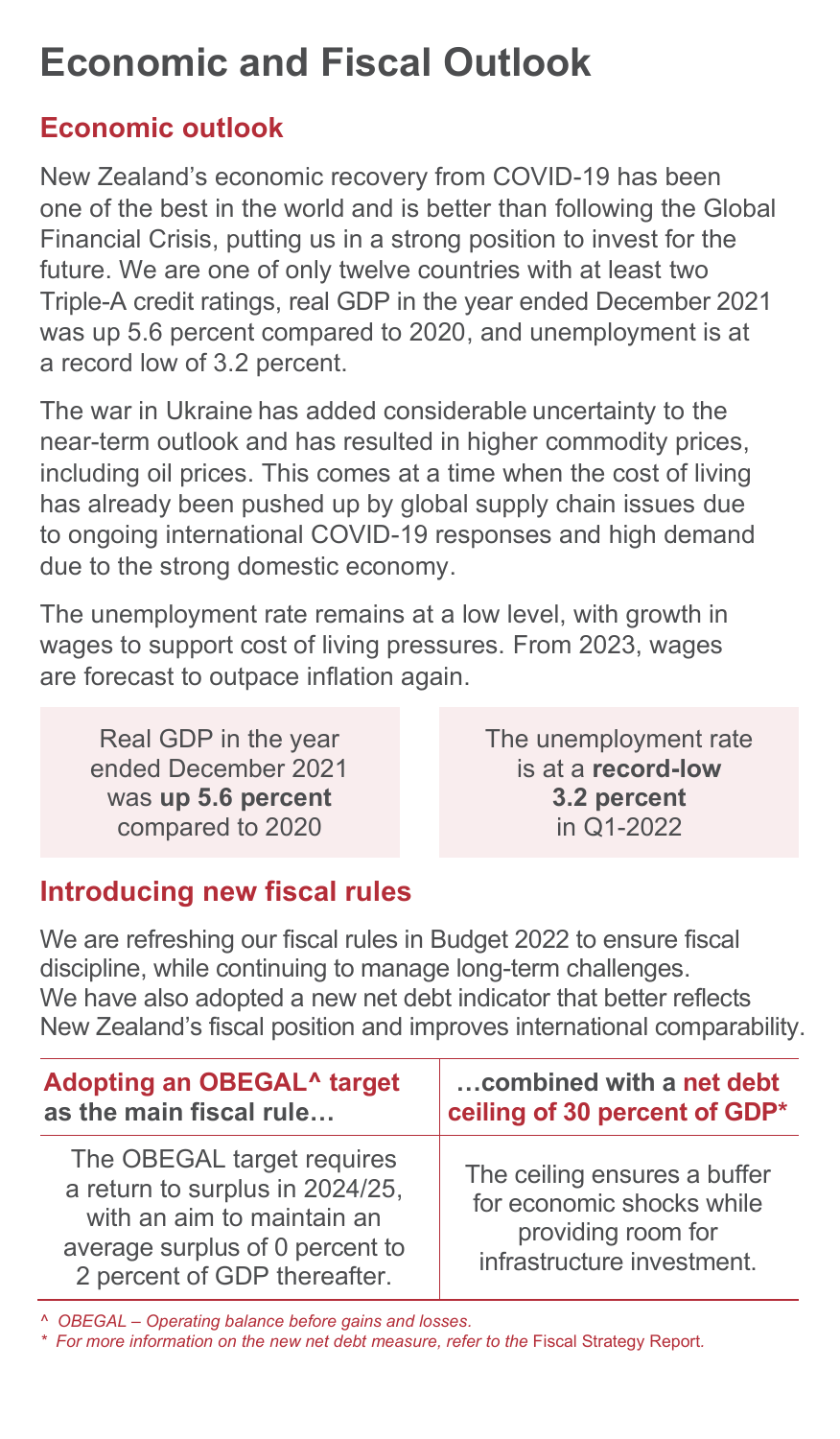### **Economic and Fiscal Outlook**

### **Economic outlook**

New Zealand's economic recovery from COVID-19 has been one of the best in the world and is better than following the Global Financial Crisis, putting us in a strong position to invest for the future. We are one of only twelve countries with at least two Triple-A credit ratings, real GDP in the year ended December 2021 was up 5.6 percent compared to 2020, and unemployment is at a record low of 3.2 percent.

The war in Ukraine has added considerable uncertainty to the near-term outlook and has resulted in higher commodity prices, including oil prices. This comes at a time when the cost of living has already been pushed up by global supply chain issues due to ongoing international COVID-19 responses and high demand due to the strong domestic economy.

The unemployment rate remains at a low level, with growth in wages to support cost of living pressures. From 2023, wages are forecast to outpace inflation again.

Real GDP in the year ended December 2021 was **up 5.6 percent** compared to 2020

The unemployment rate is at a **record-low 3.2 percent**  in Q1-2022

### **Introducing new fiscal rules**

We are refreshing our fiscal rules in Budget 2022 to ensure fiscal discipline, while continuing to manage long-term challenges. We have also adopted a new net debt indicator that better reflects New Zealand's fiscal position and improves international comparability.

| Adopting an OBEGAL <sup>^</sup> target                                                                                                                         | combined with a net debt                                                                                      |
|----------------------------------------------------------------------------------------------------------------------------------------------------------------|---------------------------------------------------------------------------------------------------------------|
| as the main fiscal rule                                                                                                                                        | ceiling of 30 percent of GDP*                                                                                 |
| The OBEGAL target requires<br>a return to surplus in 2024/25,<br>with an aim to maintain an<br>average surplus of 0 percent to<br>2 percent of GDP thereafter. | The ceiling ensures a buffer<br>for economic shocks while<br>providing room for<br>infrastructure investment. |

*^ OBEGAL – Operating balance before gains and losses.*

*\* For more information on the new net debt measure, refer to the* Fiscal Strategy Report*.*